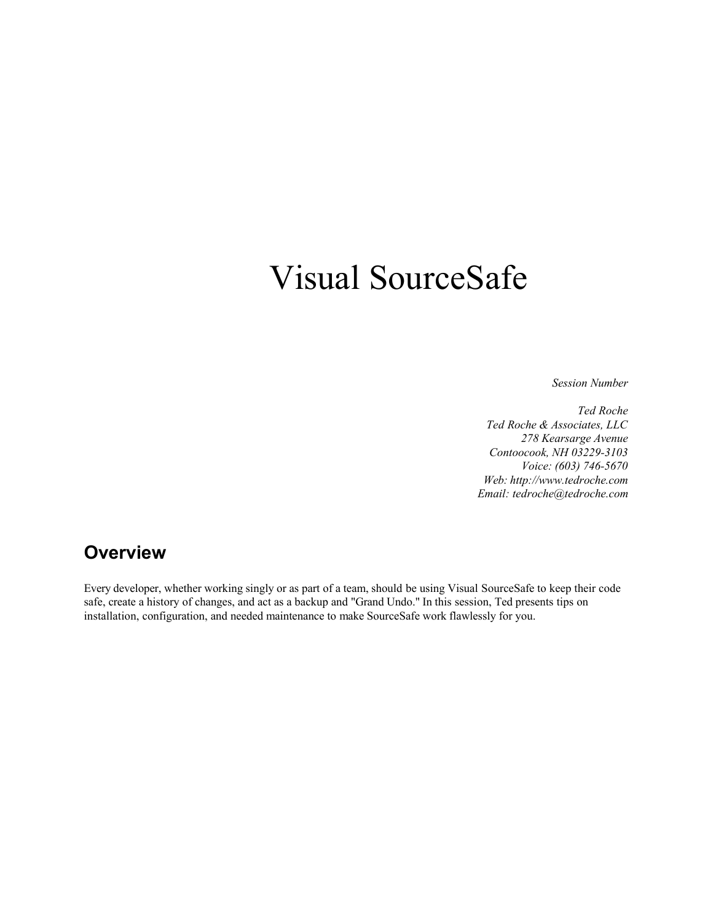# Visual SourceSafe

*Session Number*

*Ted Roche Ted Roche & Associates, LLC 278 Kearsarge Avenue Contoocook, NH 03229-3103 Voice: (603) 746-5670 Web: http://www.tedroche.com Email: tedroche@tedroche.com*

## **Overview**

Every developer, whether working singly or as part of a team, should be using Visual SourceSafe to keep their code safe, create a history of changes, and act as a backup and "Grand Undo." In this session, Ted presents tips on installation, configuration, and needed maintenance to make SourceSafe work flawlessly for you.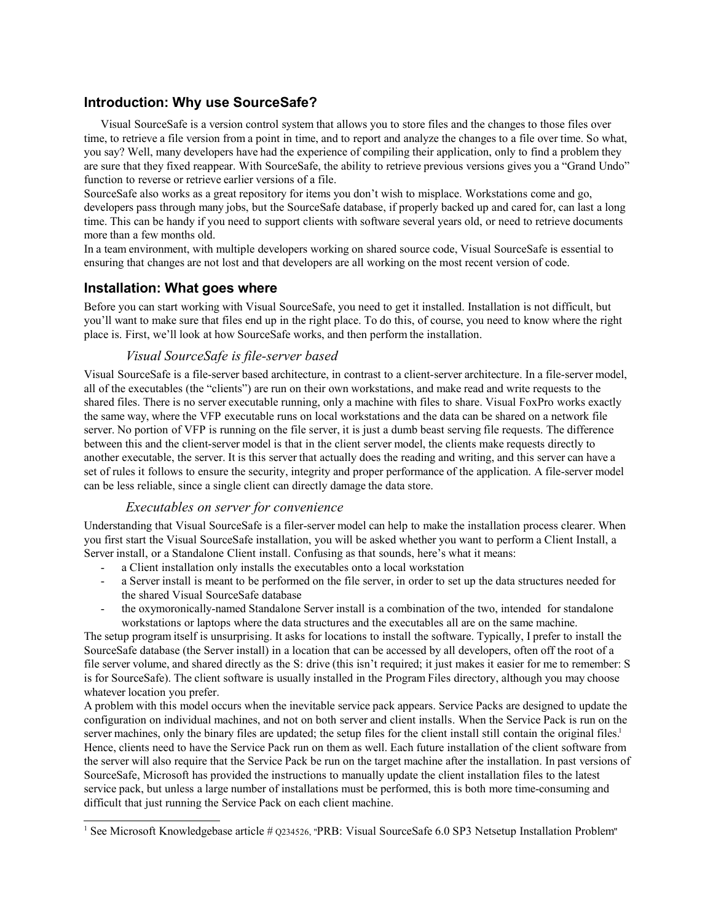## **Introduction: Why use SourceSafe?**

Visual SourceSafe is a version control system that allows you to store files and the changes to those files over time, to retrieve a file version from a point in time, and to report and analyze the changes to a file over time. So what, you say? Well, many developers have had the experience of compiling their application, only to find a problem they are sure that they fixed reappear. With SourceSafe, the ability to retrieve previous versions gives you a "Grand Undo" function to reverse or retrieve earlier versions of a file.

SourceSafe also works as a great repository for items you don't wish to misplace. Workstations come and go, developers pass through many jobs, but the SourceSafe database, if properly backed up and cared for, can last a long time. This can be handy if you need to support clients with software several years old, or need to retrieve documents more than a few months old.

In a team environment, with multiple developers working on shared source code, Visual SourceSafe is essential to ensuring that changes are not lost and that developers are all working on the most recent version of code.

## **Installation: What goes where**

Before you can start working with Visual SourceSafe, you need to get it installed. Installation is not difficult, but you'll want to make sure that files end up in the right place. To do this, of course, you need to know where the right place is. First, we'll look at how SourceSafe works, and then perform the installation.

### *Visual SourceSafe is file-server based*

Visual SourceSafe is a file-server based architecture, in contrast to a client-server architecture. In a file-server model, all of the executables (the "clients") are run on their own workstations, and make read and write requests to the shared files. There is no server executable running, only a machine with files to share. Visual FoxPro works exactly the same way, where the VFP executable runs on local workstations and the data can be shared on a network file server. No portion of VFP is running on the file server, it is just a dumb beast serving file requests. The difference between this and the client-server model is that in the client server model, the clients make requests directly to another executable, the server. It is this server that actually does the reading and writing, and this server can have a set of rules it follows to ensure the security, integrity and proper performance of the application. A file-server model can be less reliable, since a single client can directly damage the data store.

#### *Executables on server for convenience*

Understanding that Visual SourceSafe is a filer-server model can help to make the installation process clearer. When you first start the Visual SourceSafe installation, you will be asked whether you want to perform a Client Install, a Server install, or a Standalone Client install. Confusing as that sounds, here's what it means:

- a Client installation only installs the executables onto a local workstation
- a Server install is meant to be performed on the file server, in order to set up the data structures needed for the shared Visual SourceSafe database
- the oxymoronically-named Standalone Server install is a combination of the two, intended for standalone workstations or laptops where the data structures and the executables all are on the same machine.

The setup program itself is unsurprising. It asks for locations to install the software. Typically, I prefer to install the SourceSafe database (the Server install) in a location that can be accessed by all developers, often off the root of a file server volume, and shared directly as the S: drive (this isn't required; it just makes it easier for me to remember: S is for SourceSafe). The client software is usually installed in the Program Files directory, although you may choose whatever location you prefer.

A problem with this model occurs when the inevitable service pack appears. Service Packs are designed to update the configuration on individual machines, and not on both server and client installs. When the Service Pack is run on the server machines, only the binary files are updated; the setup files for the client install still contain the original files.<sup>1</sup> Hence, clients need to have the Service Pack run on them as well. Each future installation of the client software from the server will also require that the Service Pack be run on the target machine after the installation. In past versions of SourceSafe, Microsoft has provided the instructions to manually update the client installation files to the latest service pack, but unless a large number of installations must be performed, this is both more time-consuming and difficult that just running the Service Pack on each client machine.

<sup>&</sup>lt;sup>1</sup> See Microsoft Knowledgebase article #  $Q234526$ , "PRB: Visual SourceSafe 6.0 SP3 Netsetup Installation Problem"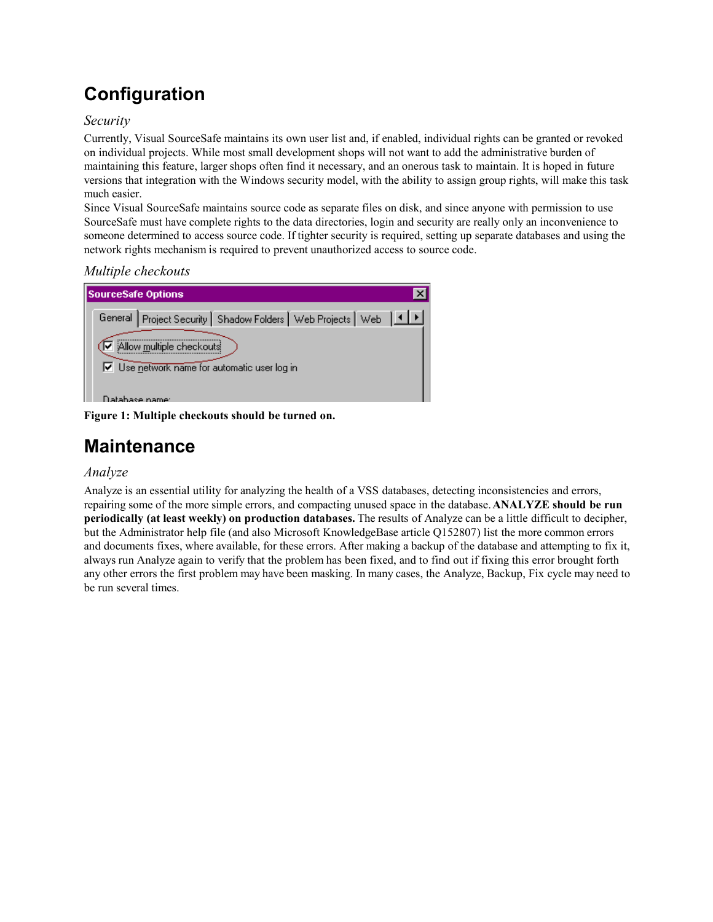## **Configuration**

### *Security*

Currently, Visual SourceSafe maintains its own user list and, if enabled, individual rights can be granted or revoked on individual projects. While most small development shops will not want to add the administrative burden of maintaining this feature, larger shops often find it necessary, and an onerous task to maintain. It is hoped in future versions that integration with the Windows security model, with the ability to assign group rights, will make this task much easier.

Since Visual SourceSafe maintains source code as separate files on disk, and since anyone with permission to use SourceSafe must have complete rights to the data directories, login and security are really only an inconvenience to someone determined to access source code. If tighter security is required, setting up separate databases and using the network rights mechanism is required to prevent unauthorized access to source code.

*Multiple checkouts*



**Figure 1: Multiple checkouts should be turned on.**

## **Maintenance**

## *Analyze*

Analyze is an essential utility for analyzing the health of a VSS databases, detecting inconsistencies and errors, repairing some of the more simple errors, and compacting unused space in the database. **ANALYZE should be run periodically (at least weekly) on production databases.** The results of Analyze can be a little difficult to decipher, but the Administrator help file (and also Microsoft KnowledgeBase article Q152807) list the more common errors and documents fixes, where available, for these errors. After making a backup of the database and attempting to fix it, always run Analyze again to verify that the problem has been fixed, and to find out if fixing this error brought forth any other errors the first problem may have been masking. In many cases, the Analyze, Backup, Fix cycle may need to be run several times.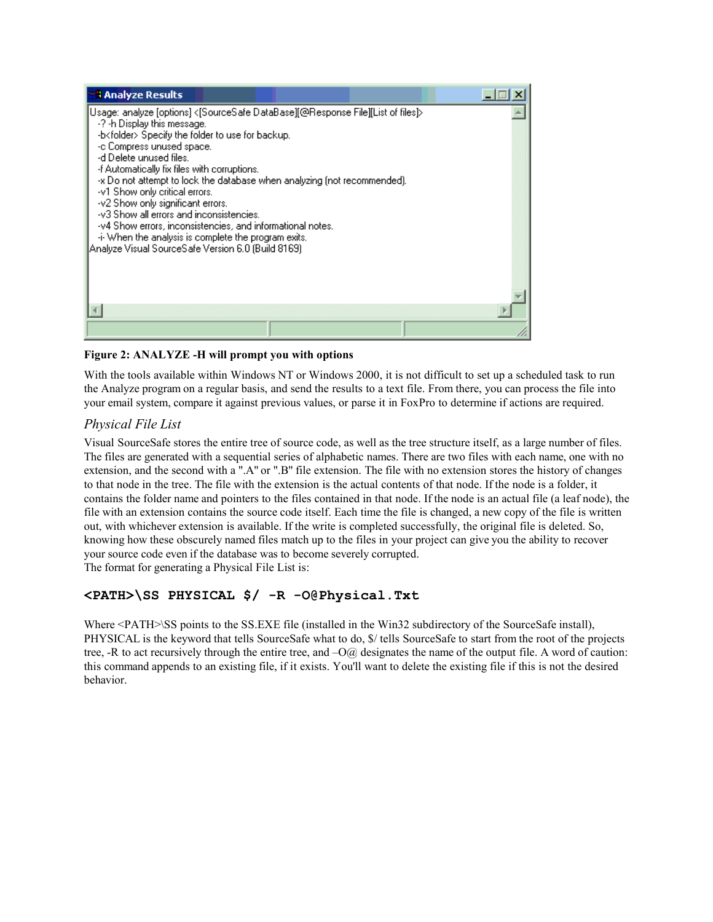

#### **Figure 2: ANALYZE -H will prompt you with options**

With the tools available within Windows NT or Windows 2000, it is not difficult to set up a scheduled task to run the Analyze program on a regular basis, and send the results to a text file. From there, you can process the file into your email system, compare it against previous values, or parse it in FoxPro to determine if actions are required.

## *Physical File List*

Visual SourceSafe stores the entire tree of source code, as well as the tree structure itself, as a large number of files. The files are generated with a sequential series of alphabetic names. There are two files with each name, one with no extension, and the second with a ".A" or ".B" file extension. The file with no extension stores the history of changes to that node in the tree. The file with the extension is the actual contents of that node. If the node is a folder, it contains the folder name and pointers to the files contained in that node. If the node is an actual file (a leaf node), the file with an extension contains the source code itself. Each time the file is changed, a new copy of the file is written out, with whichever extension is available. If the write is completed successfully, the original file is deleted. So, knowing how these obscurely named files match up to the files in your project can give you the ability to recover your source code even if the database was to become severely corrupted. The format for generating a Physical File List is:

## **<PATH>\SS PHYSICAL \$/ -R -O@Physical.Txt**

Where <PATH>\SS points to the SS.EXE file (installed in the Win32 subdirectory of the SourceSafe install), PHYSICAL is the keyword that tells SourceSafe what to do, \$/ tells SourceSafe to start from the root of the projects tree, -R to act recursively through the entire tree, and –O@ designates the name of the output file. A word of caution: this command appends to an existing file, if it exists. You'll want to delete the existing file if this is not the desired behavior.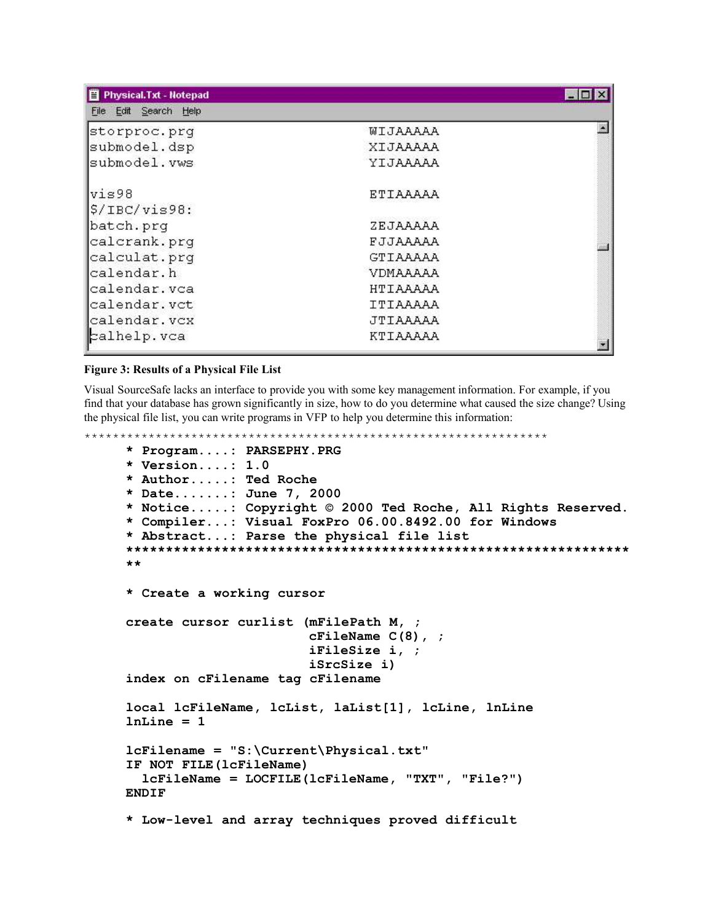| 買<br><b>Physical.Txt - Notepad</b> |          |  |
|------------------------------------|----------|--|
| File Edit Search Help              |          |  |
| storproc.prg                       | WIJAAAAA |  |
| submodel.dsp                       | XIJAAAAA |  |
| submodel.vws                       | YIJAAAAA |  |
| vis98                              | ETIAAAAA |  |
| $$/IBC/vis98$ :                    |          |  |
| batch.prg                          | ZEJAAAAA |  |
| calcrank.prg                       | FJJAAAAA |  |
| calculat.prg                       | GTIAAAAA |  |
| calendar.h                         | VDMAAAAA |  |
| calendar.vca                       | HTIAAAAA |  |
| calendar.vct                       | ITIAAAAA |  |
| calendar.vcx                       | JTIAAAAA |  |
| calhelp.vca                        | KTIAAAAA |  |

#### **Figure 3: Results of a Physical File List**

Visual SourceSafe lacks an interface to provide you with some key management information. For example, if you find that your database has grown significantly in size, how to do you determine what caused the size change? Using the physical file list, you can write programs in VFP to help you determine this information:

```
*****************************************************************
     * Program....: PARSEPHY.PRG
     * Version....: 1.0
     * Author.....: Ted Roche
     * Date.......: June 7, 2000
     * Notice.....: Copyright © 2000 Ted Roche, All Rights Reserved.
     * Compiler...: Visual FoxPro 06.00.8492.00 for Windows
     * Abstract...: Parse the physical file list
     ***************************************************************
     **
     * Create a working cursor
     create cursor curlist (mFilePath M, ;
                            cFileName C(8), ;
                            iFileSize i, ;
                            iSrcSize i)
     index on cFilename tag cFilename
     local lcFileName, lcList, laList[1], lcLine, lnLine
     lnLine = 1
     lcFilename = "S:\Current\Physical.txt"
     IF NOT FILE(lcFileName)
       lcFileName = LOCFILE(lcFileName, "TXT", "File?")
    ENDIF
     * Low-level and array techniques proved difficult
```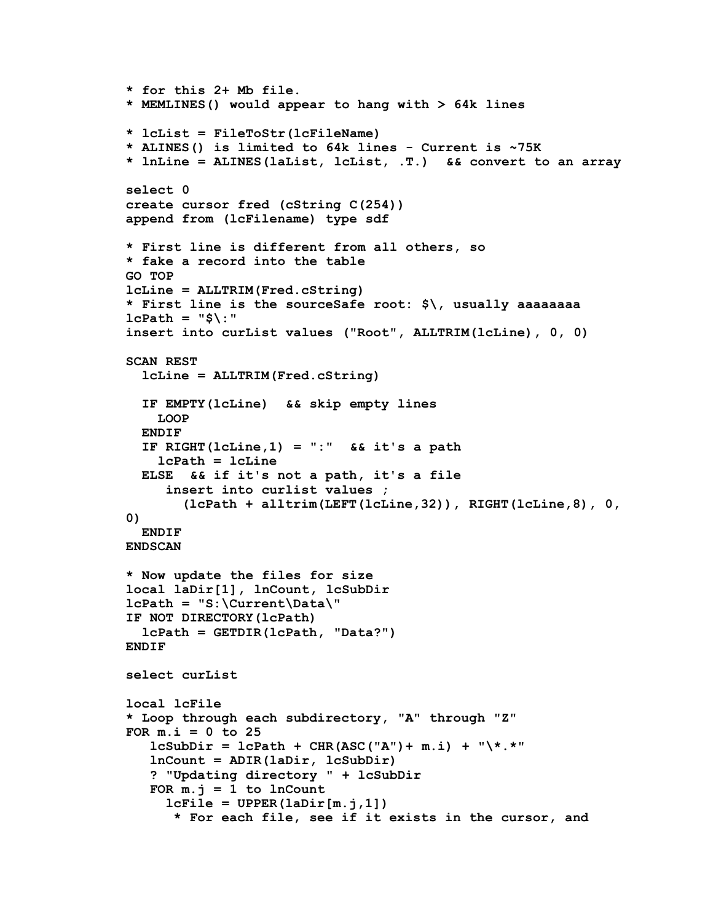```
* for this 2+ Mb file.
* MEMLINES() would appear to hang with > 64k lines
* lcList = FileToStr(lcFileName)
* ALINES() is limited to 64k lines - Current is ~75K
* lnLine = ALINES(laList, lcList, .T.) && convert to an array
select 0
create cursor fred (cString C(254))
append from (lcFilename) type sdf
* First line is different from all others, so
* fake a record into the table
GO TOP
lcLine = ALLTRIM(Fred.cString)
* First line is the sourceSafe root: $\, usually aaaaaaaa
lcPath = "$\:"
insert into curList values ("Root", ALLTRIM(lcLine), 0, 0)
SCAN REST
  lcLine = ALLTRIM(Fred.cString)
  IF EMPTY(lcLine) && skip empty lines
    LOOP
  ENDIF
  IF RIGHT(lcLine,1) = ":" && it's a path
    lcPath = lcLine
  ELSE && if it's not a path, it's a file
     insert into curlist values ;
       (lcPath + alltrim(LEFT(lcLine,32)), RIGHT(lcLine,8), 0,
0)
  ENDIF
ENDSCAN
* Now update the files for size
local laDir[1], lnCount, lcSubDir
lcPath = "S:\Current\Data\"
IF NOT DIRECTORY(lcPath)
  lcPath = GETDIR(lcPath, "Data?")
ENDIF
select curList
local lcFile
* Loop through each subdirectory, "A" through "Z"
FOR m.i = 0 to 25
   lcSubDir = lcPath + CHR(ASC("A")+ m.i) + "\*.*"
   lnCount = ADIR(laDir, lcSubDir)
   ? "Updating directory " + lcSubDir
   FOR m, j = 1 to lnCountlcfile = UPPER(labir[m,j,1])* For each file, see if it exists in the cursor, and
```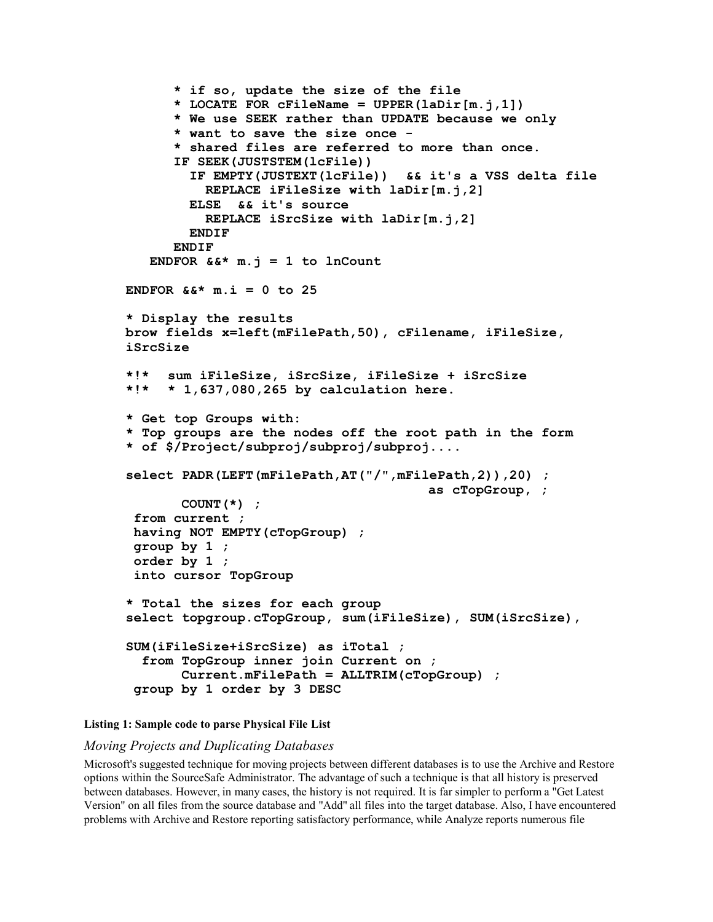```
* if so, update the size of the file
      * LOCATE FOR cFileName = UPPER(laDir[m.j,1])
      * We use SEEK rather than UPDATE because we only
      * want to save the size once -
      * shared files are referred to more than once.
      IF SEEK(JUSTSTEM(lcFile))
        IF EMPTY(JUSTEXT(lcFile)) && it's a VSS delta file
          REPLACE iFileSize with laDir[m.j,2]
        ELSE && it's source
          REPLACE iSrcSize with laDir[m.j,2]
        ENDIF
      ENDIF
   ENDFOR &&\mathbf{k}^* m. \mathbf{j} = 1 to lnCount
ENDFOR &&* m.i = 0 to 25
* Display the results
brow fields x=left(mFilePath,50), cFilename, iFileSize,
iSrcSize
*!* sum iFileSize, iSrcSize, iFileSize + iSrcSize
*!* * 1,637,080,265 by calculation here.
* Get top Groups with:
* Top groups are the nodes off the root path in the form
* of $/Project/subproj/subproj/subproj....
select PADR(LEFT(mFilePath,AT("/",mFilePath,2)),20) ;
                                       as cTopGroup, ;
       COUNT(*) ;
 from current ;
 having NOT EMPTY(cTopGroup) ;
 group by 1 ;
 order by 1 ;
 into cursor TopGroup
* Total the sizes for each group
select topgroup.cTopGroup, sum(iFileSize), SUM(iSrcSize),
SUM(iFileSize+iSrcSize) as iTotal ;
  from TopGroup inner join Current on ;
       Current.mFilePath = ALLTRIM(cTopGroup) ;
 group by 1 order by 3 DESC
```
#### **Listing 1: Sample code to parse Physical File List**

#### *Moving Projects and Duplicating Databases*

Microsoft's suggested technique for moving projects between different databases is to use the Archive and Restore options within the SourceSafe Administrator. The advantage of such a technique is that all history is preserved between databases. However, in many cases, the history is not required. It is far simpler to perform a "Get Latest Version" on all files from the source database and "Add" all files into the target database. Also, I have encountered problems with Archive and Restore reporting satisfactory performance, while Analyze reports numerous file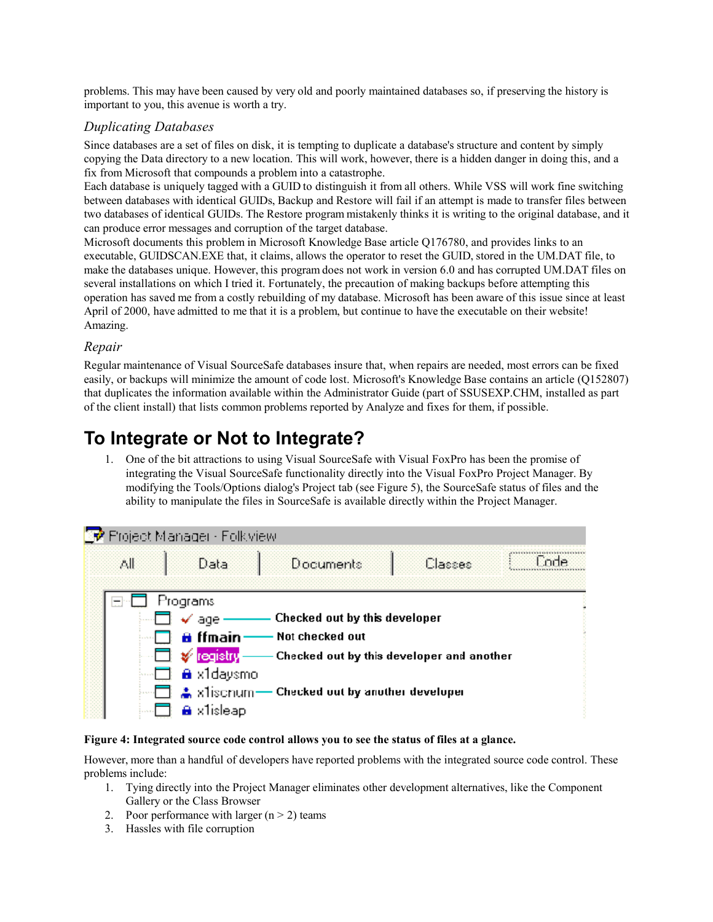problems. This may have been caused by very old and poorly maintained databases so, if preserving the history is important to you, this avenue is worth a try.

### *Duplicating Databases*

Since databases are a set of files on disk, it is tempting to duplicate a database's structure and content by simply copying the Data directory to a new location. This will work, however, there is a hidden danger in doing this, and a fix from Microsoft that compounds a problem into a catastrophe.

Each database is uniquely tagged with a GUID to distinguish it from all others. While VSS will work fine switching between databases with identical GUIDs, Backup and Restore will fail if an attempt is made to transfer files between two databases of identical GUIDs. The Restore program mistakenly thinks it is writing to the original database, and it can produce error messages and corruption of the target database.

Microsoft documents this problem in Microsoft Knowledge Base article Q176780, and provides links to an executable, GUIDSCAN.EXE that, it claims, allows the operator to reset the GUID, stored in the UM.DAT file, to make the databases unique. However, this program does not work in version 6.0 and has corrupted UM.DAT files on several installations on which I tried it. Fortunately, the precaution of making backups before attempting this operation has saved me from a costly rebuilding of my database. Microsoft has been aware of this issue since at least April of 2000, have admitted to me that it is a problem, but continue to have the executable on their website! Amazing.

### *Repair*

Regular maintenance of Visual SourceSafe databases insure that, when repairs are needed, most errors can be fixed easily, or backups will minimize the amount of code lost. Microsoft's Knowledge Base contains an article (Q152807) that duplicates the information available within the Administrator Guide (part of SSUSEXP.CHM, installed as part of the client install) that lists common problems reported by Analyze and fixes for them, if possible.

## **To Integrate or Not to Integrate?**

1. One of the bit attractions to using Visual SourceSafe with Visual FoxPro has been the promise of integrating the Visual SourceSafe functionality directly into the Visual FoxPro Project Manager. By modifying the Tools/Options dialog's Project tab (see Figure 5), the SourceSafe status of files and the ability to manipulate the files in SourceSafe is available directly within the Project Manager.

|     | 图 Project Manager - Folk view                                    |                                                           |         |      |
|-----|------------------------------------------------------------------|-----------------------------------------------------------|---------|------|
| All | Data                                                             | Documents                                                 | Classes | Fode |
|     | Programs<br>$\checkmark$ age $\checkmark$<br><del>A</del> ffmain | Checked out by this developer<br>Not checked out          |         |      |
|     | $\Box$ $\mathscr{G}$ registry<br><b>A</b> x1daysmo               | Checked out by this developer and another                 |         |      |
|     | a x1isleap                                                       | $\Box$ $\Box$ x1iscnum — Checked out by another developer |         |      |

#### **Figure 4: Integrated source code control allows you to see the status of files at a glance.**

However, more than a handful of developers have reported problems with the integrated source code control. These problems include:

- 1. Tying directly into the Project Manager eliminates other development alternatives, like the Component Gallery or the Class Browser
- 2. Poor performance with larger  $(n > 2)$  teams
- 3. Hassles with file corruption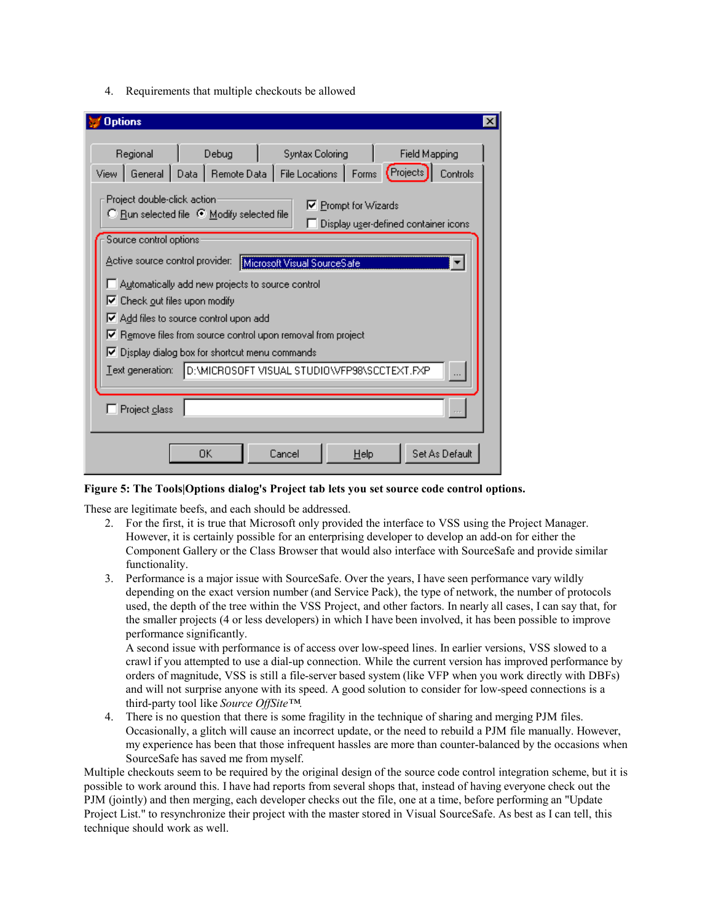4. Requirements that multiple checkouts be allowed

| <b>Options</b><br>$\boldsymbol{\times}$                                                                                                                                 |  |  |  |  |
|-------------------------------------------------------------------------------------------------------------------------------------------------------------------------|--|--|--|--|
| Regional<br>Debug<br><b>Syntax Coloring</b><br>Field Mapping<br>File Locations   Forms (Projects<br>General Data   Remote Data  <br>Controls<br>View                    |  |  |  |  |
| Project double-click action<br>$\nabla$ Prompt for Wizards<br>○ Run selected file ● Modify selected file<br>Display user-defined container icons                        |  |  |  |  |
| Source control options:<br>Active source control provider:<br>Microsoft Visual SourceSafe<br>Automatically add new projects to source control                           |  |  |  |  |
| $\triangledown$ Check out files upon modify<br>$\blacktriangleright$ Add files to source control upon add<br>Remove files from source control upon removal from project |  |  |  |  |
| $\triangledown$ Display dialog box for shortcut menu commands<br>Text generation:<br>D:\MICROSOFT VISUAL STUDIO\VFP98\SCCTEXT.FXP                                       |  |  |  |  |
| Project class                                                                                                                                                           |  |  |  |  |
| Set As Default<br>OΚ<br>Cancel<br>$He$ lp                                                                                                                               |  |  |  |  |

**Figure 5: The Tools|Options dialog's Project tab lets you set source code control options.**

These are legitimate beefs, and each should be addressed.

- 2. For the first, it is true that Microsoft only provided the interface to VSS using the Project Manager. However, it is certainly possible for an enterprising developer to develop an add-on for either the Component Gallery or the Class Browser that would also interface with SourceSafe and provide similar functionality.
- 3. Performance is a major issue with SourceSafe. Over the years, I have seen performance vary wildly depending on the exact version number (and Service Pack), the type of network, the number of protocols used, the depth of the tree within the VSS Project, and other factors. In nearly all cases, I can say that, for the smaller projects (4 or less developers) in which I have been involved, it has been possible to improve performance significantly.

A second issue with performance is of access over low-speed lines. In earlier versions, VSS slowed to a crawl if you attempted to use a dial-up connection. While the current version has improved performance by orders of magnitude, VSS is still a file-server based system (like VFP when you work directly with DBFs) and will not surprise anyone with its speed. A good solution to consider for low-speed connections is a third-party tool like *Source OffSite™.*

4. There is no question that there is some fragility in the technique of sharing and merging PJM files. Occasionally, a glitch will cause an incorrect update, or the need to rebuild a PJM file manually. However, my experience has been that those infrequent hassles are more than counter-balanced by the occasions when SourceSafe has saved me from myself.

Multiple checkouts seem to be required by the original design of the source code control integration scheme, but it is possible to work around this. I have had reports from several shops that, instead of having everyone check out the PJM (jointly) and then merging, each developer checks out the file, one at a time, before performing an "Update Project List." to resynchronize their project with the master stored in Visual SourceSafe. As best as I can tell, this technique should work as well.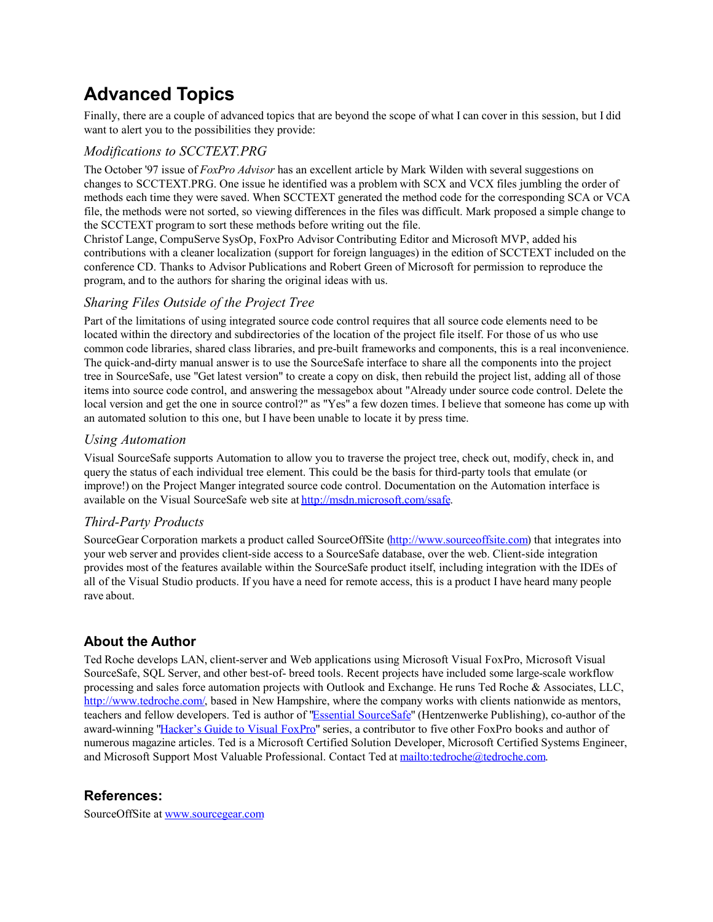## **Advanced Topics**

Finally, there are a couple of advanced topics that are beyond the scope of what I can cover in this session, but I did want to alert you to the possibilities they provide:

## *Modifications to SCCTEXT.PRG*

The October '97 issue of *FoxPro Advisor* has an excellent article by Mark Wilden with several suggestions on changes to SCCTEXT.PRG. One issue he identified was a problem with SCX and VCX files jumbling the order of methods each time they were saved. When SCCTEXT generated the method code for the corresponding SCA or VCA file, the methods were not sorted, so viewing differences in the files was difficult. Mark proposed a simple change to the SCCTEXT program to sort these methods before writing out the file.

Christof Lange, CompuServe SysOp, FoxPro Advisor Contributing Editor and Microsoft MVP, added his contributions with a cleaner localization (support for foreign languages) in the edition of SCCTEXT included on the conference CD. Thanks to Advisor Publications and Robert Green of Microsoft for permission to reproduce the program, and to the authors for sharing the original ideas with us.

## *Sharing Files Outside of the Project Tree*

Part of the limitations of using integrated source code control requires that all source code elements need to be located within the directory and subdirectories of the location of the project file itself. For those of us who use common code libraries, shared class libraries, and pre-built frameworks and components, this is a real inconvenience. The quick-and-dirty manual answer is to use the SourceSafe interface to share all the components into the project tree in SourceSafe, use "Get latest version" to create a copy on disk, then rebuild the project list, adding all of those items into source code control, and answering the messagebox about "Already under source code control. Delete the local version and get the one in source control?" as "Yes" a few dozen times. I believe that someone has come up with an automated solution to this one, but I have been unable to locate it by press time.

## *Using Automation*

Visual SourceSafe supports Automation to allow you to traverse the project tree, check out, modify, check in, and query the status of each individual tree element. This could be the basis for third-party tools that emulate (or improve!) on the Project Manger integrated source code control. Documentation on the Automation interface is available on the Visual SourceSafe web site at http://msdn.microsoft.com/ssafe.

## *Third-Party Products*

SourceGear Corporation markets a product called SourceOffSite (http://www.sourceoffsite.com) that integrates into your web server and provides client-side access to a SourceSafe database, over the web. Client-side integration provides most of the features available within the SourceSafe product itself, including integration with the IDEs of all of the Visual Studio products. If you have a need for remote access, this is a product I have heard many people rave about.

## **About the Author**

Ted Roche develops LAN, client-server and Web applications using Microsoft Visual FoxPro, Microsoft Visual SourceSafe, SQL Server, and other best-of- breed tools. Recent projects have included some large-scale workflow processing and sales force automation projects with Outlook and Exchange. He runs Ted Roche & Associates, LLC, http://www.tedroche.com/, based in New Hampshire, where the company works with clients nationwide as mentors, teachers and fellow developers. Ted is author of "Essential SourceSafe" (Hentzenwerke Publishing), co-author of the award-winning "Hacker's Guide to Visual FoxPro" series, a contributor to five other FoxPro books and author of numerous magazine articles. Ted is a Microsoft Certified Solution Developer, Microsoft Certified Systems Engineer, and Microsoft Support Most Valuable Professional. Contact Ted at mailto:tedroche@tedroche.com.

## **References:**

SourceOffSite at www.sourcegear.com